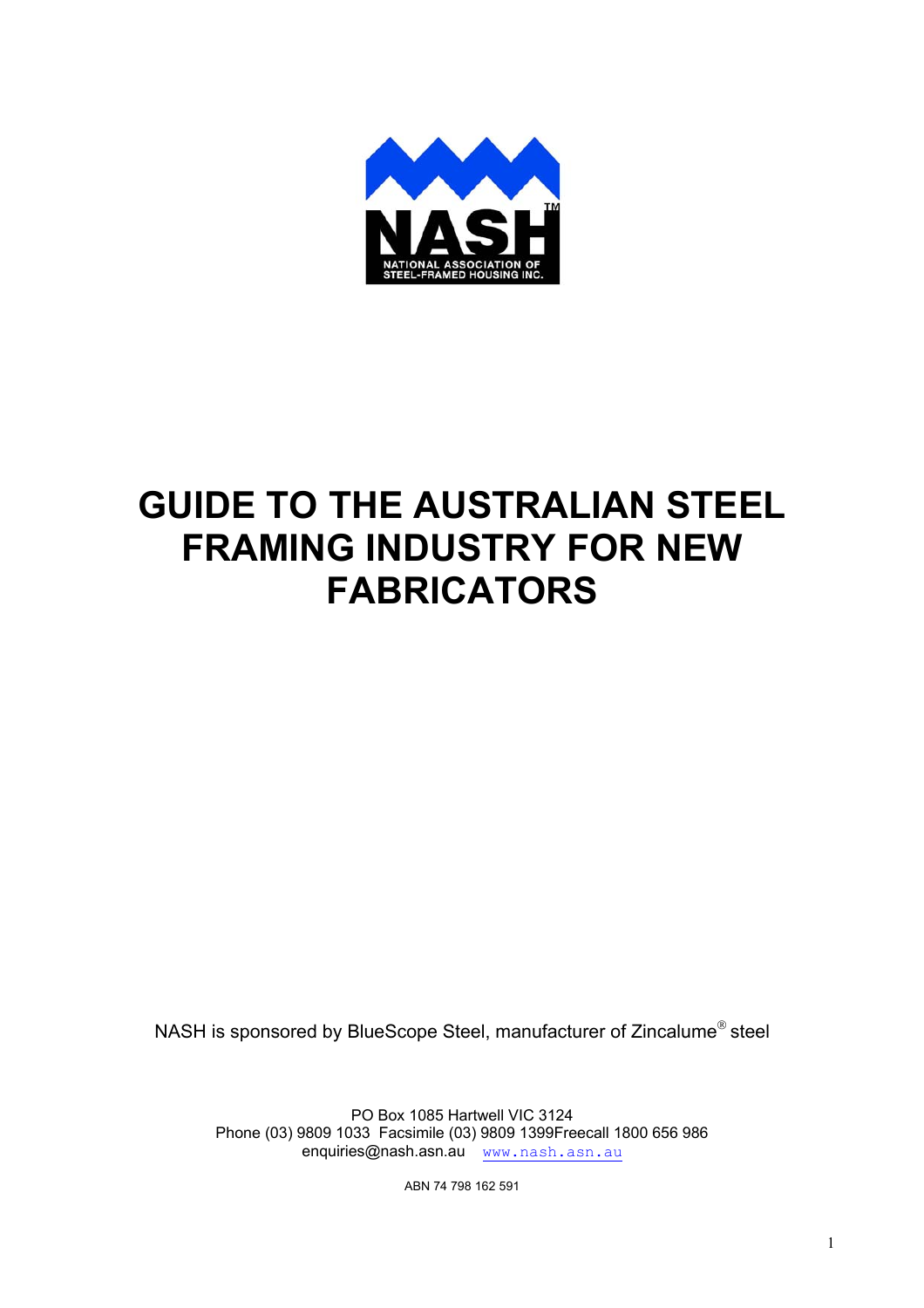

# **GUIDE TO THE AUSTRALIAN STEEL FRAMING INDUSTRY FOR NEW FABRICATORS**

NASH is sponsored by BlueScope Steel, manufacturer of Zincalume<sup>®</sup> steel

PO Box 1085 Hartwell VIC 3124 Phone (03) 9809 1033 Facsimile (03) 9809 1399Freecall 1800 656 986 enquiries@nash.asn.au www.nash.asn.au

ABN 74 798 162 591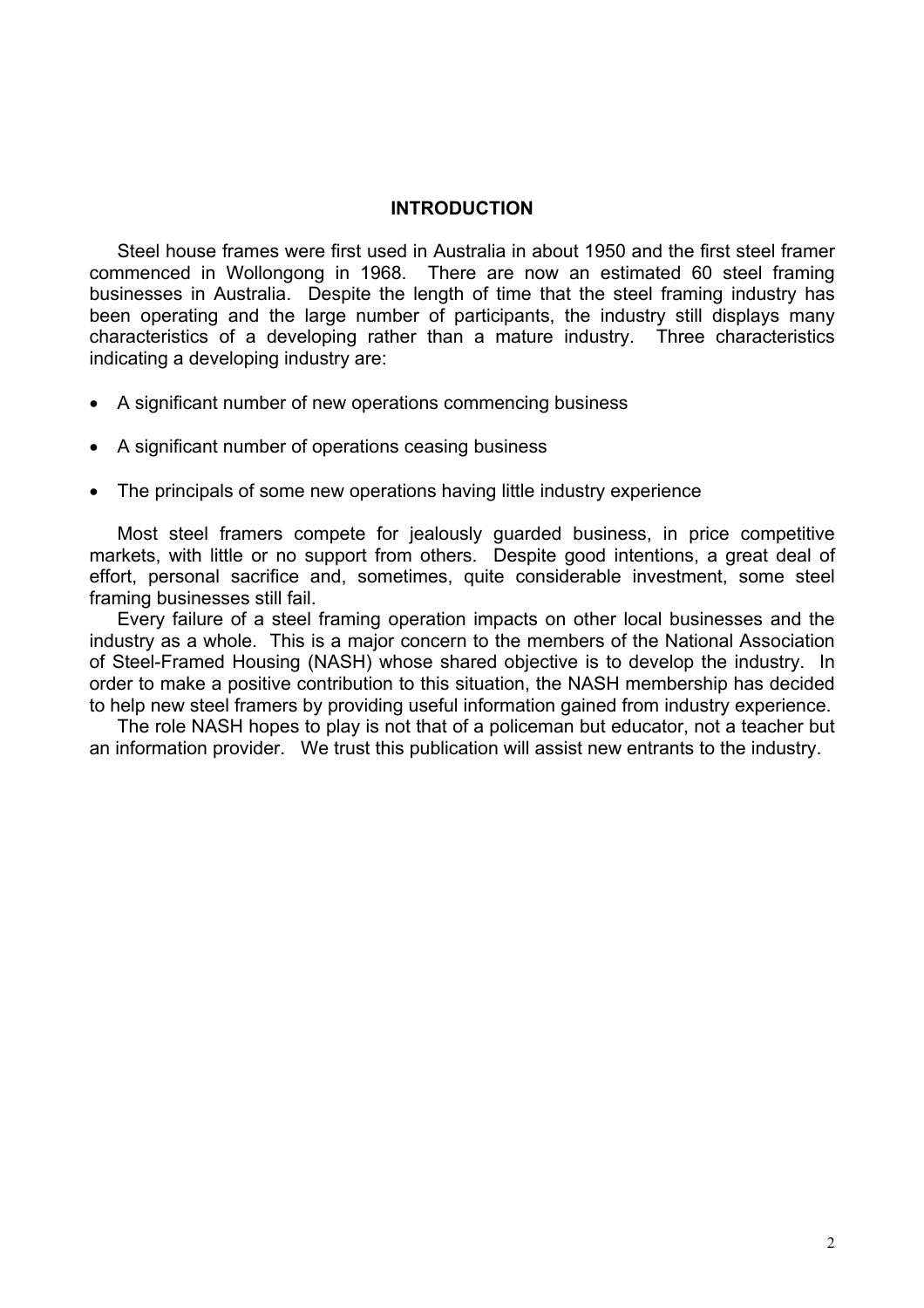#### **INTRODUCTION**

Steel house frames were first used in Australia in about 1950 and the first steel framer commenced in Wollongong in 1968. There are now an estimated 60 steel framing businesses in Australia. Despite the length of time that the steel framing industry has been operating and the large number of participants, the industry still displays many characteristics of a developing rather than a mature industry. Three characteristics indicating a developing industry are:

- A significant number of new operations commencing business
- A significant number of operations ceasing business
- The principals of some new operations having little industry experience

Most steel framers compete for jealously guarded business, in price competitive markets, with little or no support from others. Despite good intentions, a great deal of effort, personal sacrifice and, sometimes, quite considerable investment, some steel framing businesses still fail.

Every failure of a steel framing operation impacts on other local businesses and the industry as a whole. This is a major concern to the members of the National Association of Steel-Framed Housing (NASH) whose shared objective is to develop the industry. In order to make a positive contribution to this situation, the NASH membership has decided to help new steel framers by providing useful information gained from industry experience.

The role NASH hopes to play is not that of a policeman but educator, not a teacher but an information provider. We trust this publication will assist new entrants to the industry.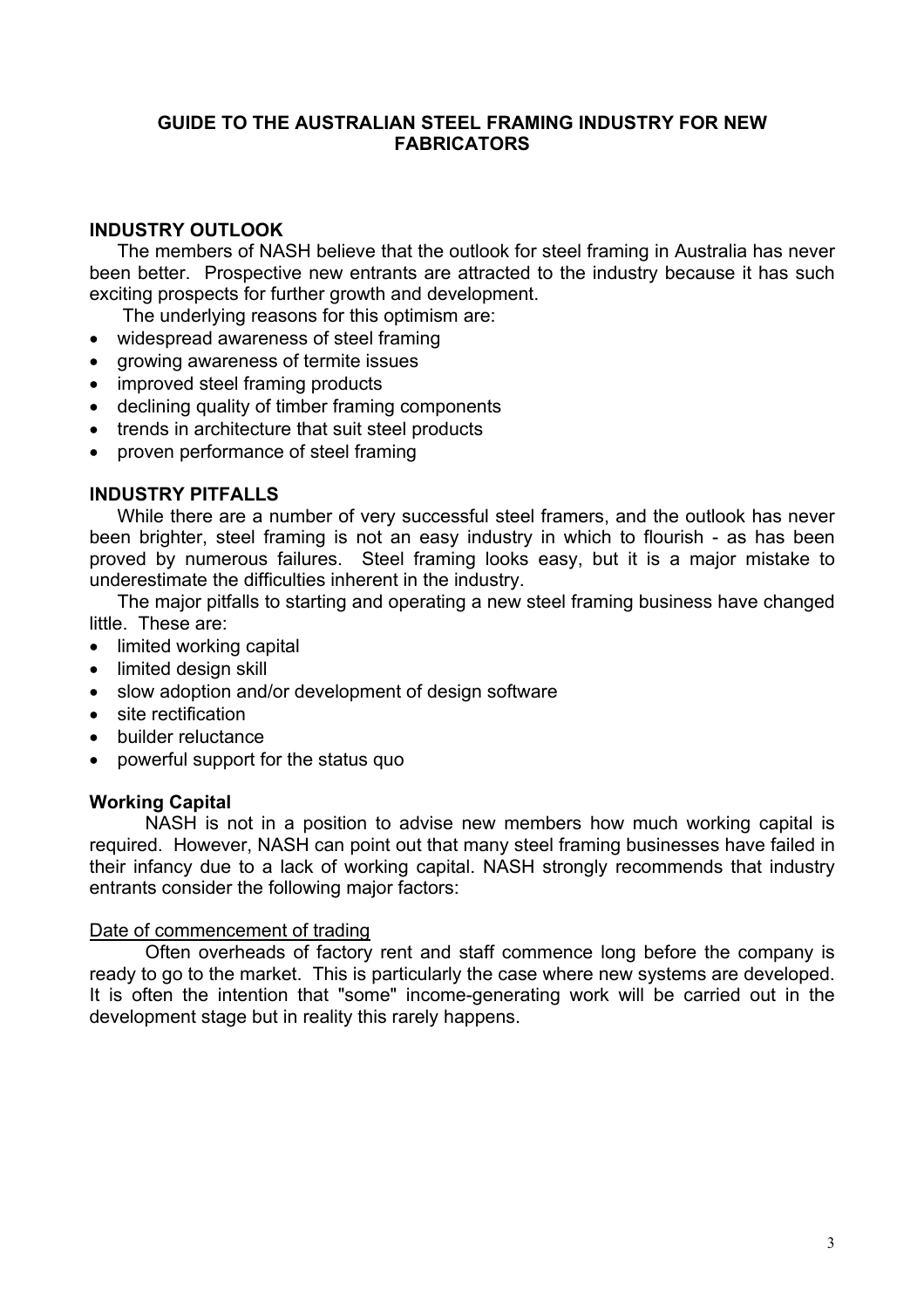## **GUIDE TO THE AUSTRALIAN STEEL FRAMING INDUSTRY FOR NEW FABRICATORS**

# **INDUSTRY OUTLOOK**

The members of NASH believe that the outlook for steel framing in Australia has never been better. Prospective new entrants are attracted to the industry because it has such exciting prospects for further growth and development.

The underlying reasons for this optimism are:

- widespread awareness of steel framing
- growing awareness of termite issues
- improved steel framing products
- declining quality of timber framing components
- trends in architecture that suit steel products
- proven performance of steel framing

## **INDUSTRY PITFALLS**

While there are a number of very successful steel framers, and the outlook has never been brighter, steel framing is not an easy industry in which to flourish - as has been proved by numerous failures. Steel framing looks easy, but it is a major mistake to underestimate the difficulties inherent in the industry.

The major pitfalls to starting and operating a new steel framing business have changed little. These are:

- limited working capital
- limited design skill
- slow adoption and/or development of design software
- site rectification
- builder reluctance
- powerful support for the status quo

#### **Working Capital**

NASH is not in a position to advise new members how much working capital is required. However, NASH can point out that many steel framing businesses have failed in their infancy due to a lack of working capital. NASH strongly recommends that industry entrants consider the following major factors:

#### Date of commencement of trading

Often overheads of factory rent and staff commence long before the company is ready to go to the market. This is particularly the case where new systems are developed. It is often the intention that "some" income-generating work will be carried out in the development stage but in reality this rarely happens.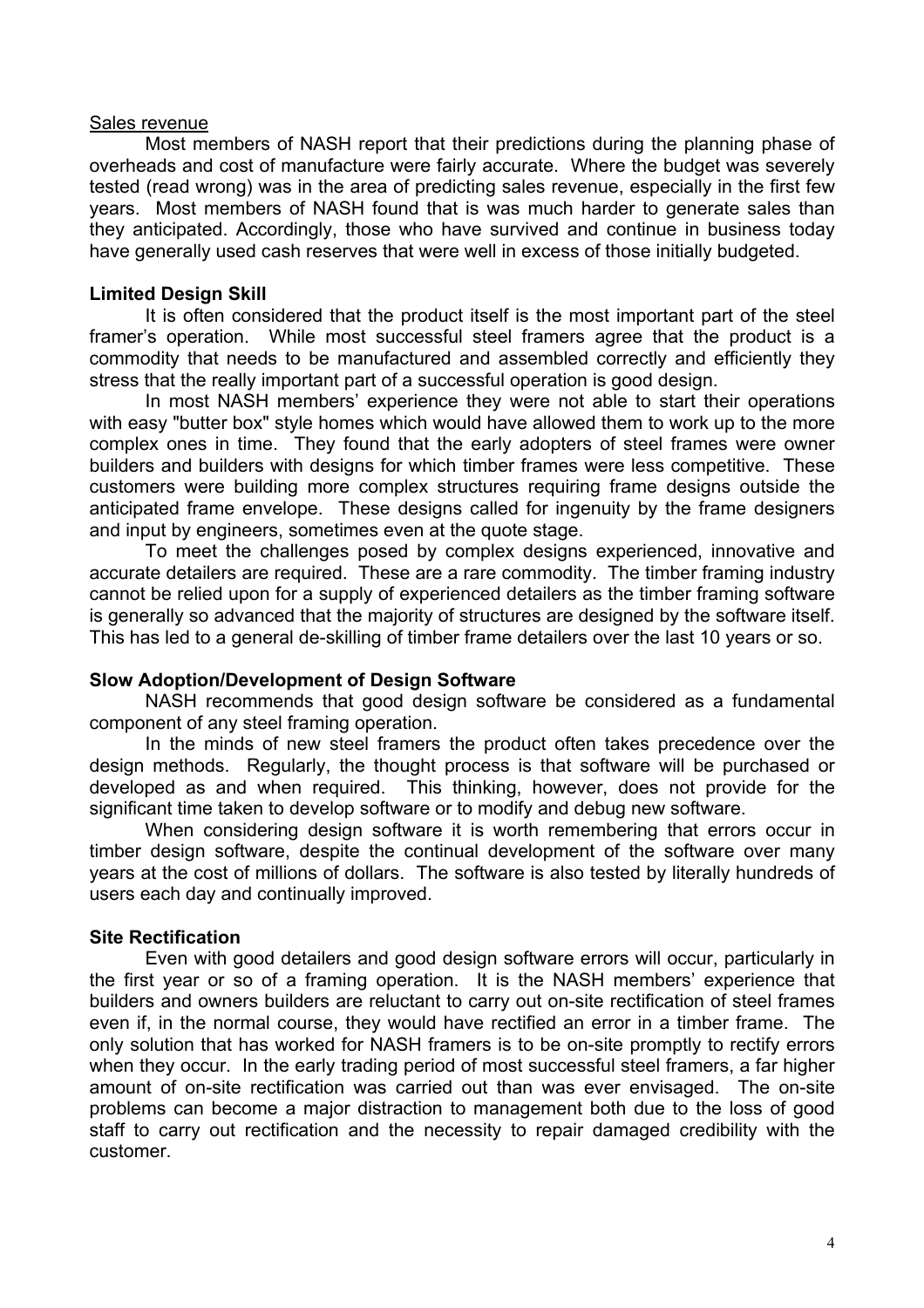#### Sales revenue

Most members of NASH report that their predictions during the planning phase of overheads and cost of manufacture were fairly accurate. Where the budget was severely tested (read wrong) was in the area of predicting sales revenue, especially in the first few years. Most members of NASH found that is was much harder to generate sales than they anticipated. Accordingly, those who have survived and continue in business today have generally used cash reserves that were well in excess of those initially budgeted.

## **Limited Design Skill**

It is often considered that the product itself is the most important part of the steel framer's operation. While most successful steel framers agree that the product is a commodity that needs to be manufactured and assembled correctly and efficiently they stress that the really important part of a successful operation is good design.

In most NASH members' experience they were not able to start their operations with easy "butter box" style homes which would have allowed them to work up to the more complex ones in time. They found that the early adopters of steel frames were owner builders and builders with designs for which timber frames were less competitive. These customers were building more complex structures requiring frame designs outside the anticipated frame envelope. These designs called for ingenuity by the frame designers and input by engineers, sometimes even at the quote stage.

To meet the challenges posed by complex designs experienced, innovative and accurate detailers are required. These are a rare commodity. The timber framing industry cannot be relied upon for a supply of experienced detailers as the timber framing software is generally so advanced that the majority of structures are designed by the software itself. This has led to a general de-skilling of timber frame detailers over the last 10 years or so.

#### **Slow Adoption/Development of Design Software**

NASH recommends that good design software be considered as a fundamental component of any steel framing operation.

In the minds of new steel framers the product often takes precedence over the design methods. Regularly, the thought process is that software will be purchased or developed as and when required. This thinking, however, does not provide for the significant time taken to develop software or to modify and debug new software.

When considering design software it is worth remembering that errors occur in timber design software, despite the continual development of the software over many years at the cost of millions of dollars. The software is also tested by literally hundreds of users each day and continually improved.

# **Site Rectification**

Even with good detailers and good design software errors will occur, particularly in the first year or so of a framing operation. It is the NASH members' experience that builders and owners builders are reluctant to carry out on-site rectification of steel frames even if, in the normal course, they would have rectified an error in a timber frame. The only solution that has worked for NASH framers is to be on-site promptly to rectify errors when they occur. In the early trading period of most successful steel framers, a far higher amount of on-site rectification was carried out than was ever envisaged. The on-site problems can become a major distraction to management both due to the loss of good staff to carry out rectification and the necessity to repair damaged credibility with the customer.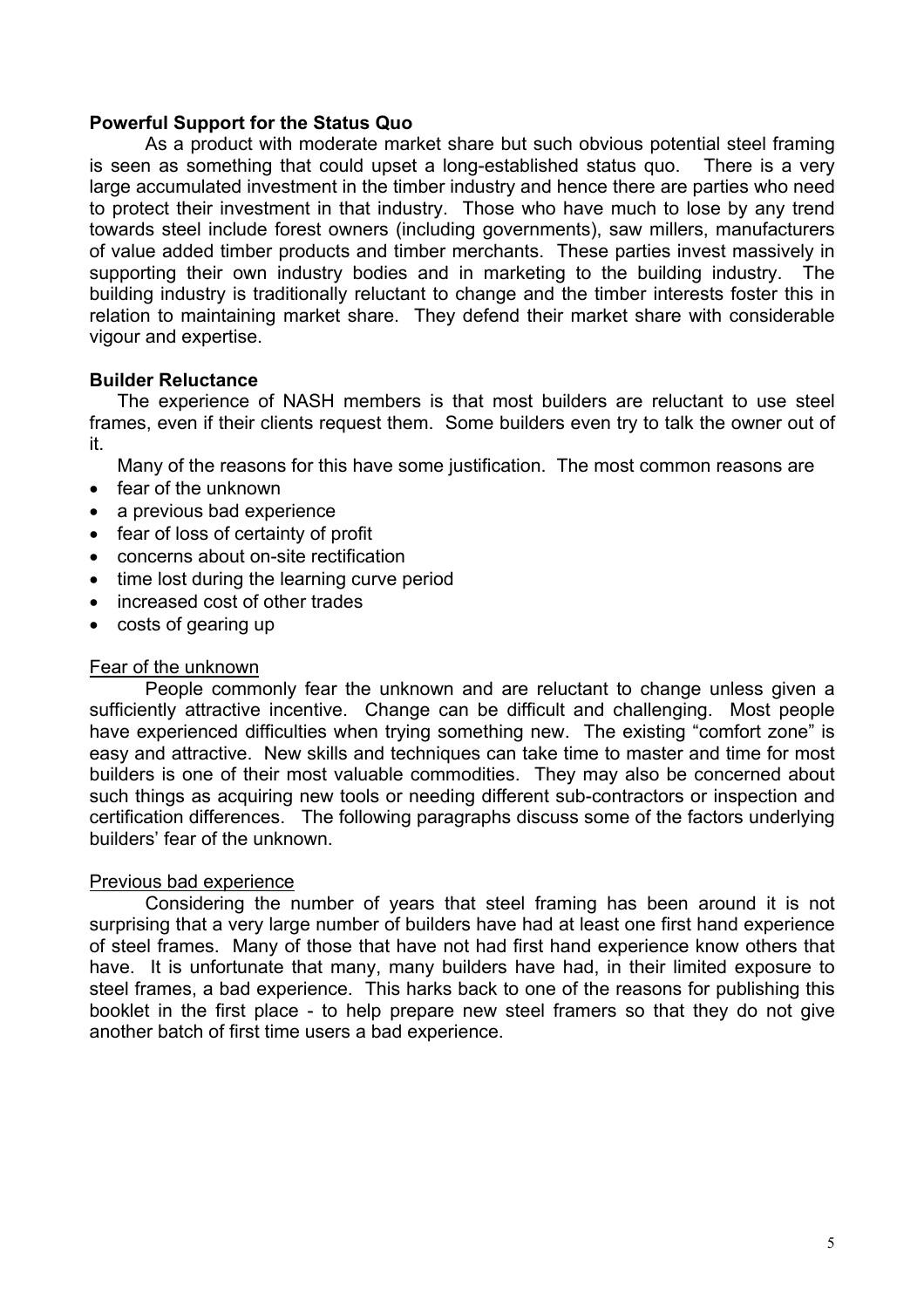## **Powerful Support for the Status Quo**

As a product with moderate market share but such obvious potential steel framing is seen as something that could upset a long-established status quo. There is a very large accumulated investment in the timber industry and hence there are parties who need to protect their investment in that industry. Those who have much to lose by any trend towards steel include forest owners (including governments), saw millers, manufacturers of value added timber products and timber merchants. These parties invest massively in supporting their own industry bodies and in marketing to the building industry. The building industry is traditionally reluctant to change and the timber interests foster this in relation to maintaining market share. They defend their market share with considerable vigour and expertise.

## **Builder Reluctance**

The experience of NASH members is that most builders are reluctant to use steel frames, even if their clients request them. Some builders even try to talk the owner out of it.

Many of the reasons for this have some justification. The most common reasons are

- fear of the unknown
- a previous bad experience
- fear of loss of certainty of profit
- concerns about on-site rectification
- time lost during the learning curve period
- increased cost of other trades
- costs of gearing up

#### Fear of the unknown

People commonly fear the unknown and are reluctant to change unless given a sufficiently attractive incentive. Change can be difficult and challenging. Most people have experienced difficulties when trying something new. The existing "comfort zone" is easy and attractive. New skills and techniques can take time to master and time for most builders is one of their most valuable commodities. They may also be concerned about such things as acquiring new tools or needing different sub-contractors or inspection and certification differences. The following paragraphs discuss some of the factors underlying builders' fear of the unknown.

#### Previous bad experience

Considering the number of years that steel framing has been around it is not surprising that a very large number of builders have had at least one first hand experience of steel frames. Many of those that have not had first hand experience know others that have. It is unfortunate that many, many builders have had, in their limited exposure to steel frames, a bad experience. This harks back to one of the reasons for publishing this booklet in the first place - to help prepare new steel framers so that they do not give another batch of first time users a bad experience.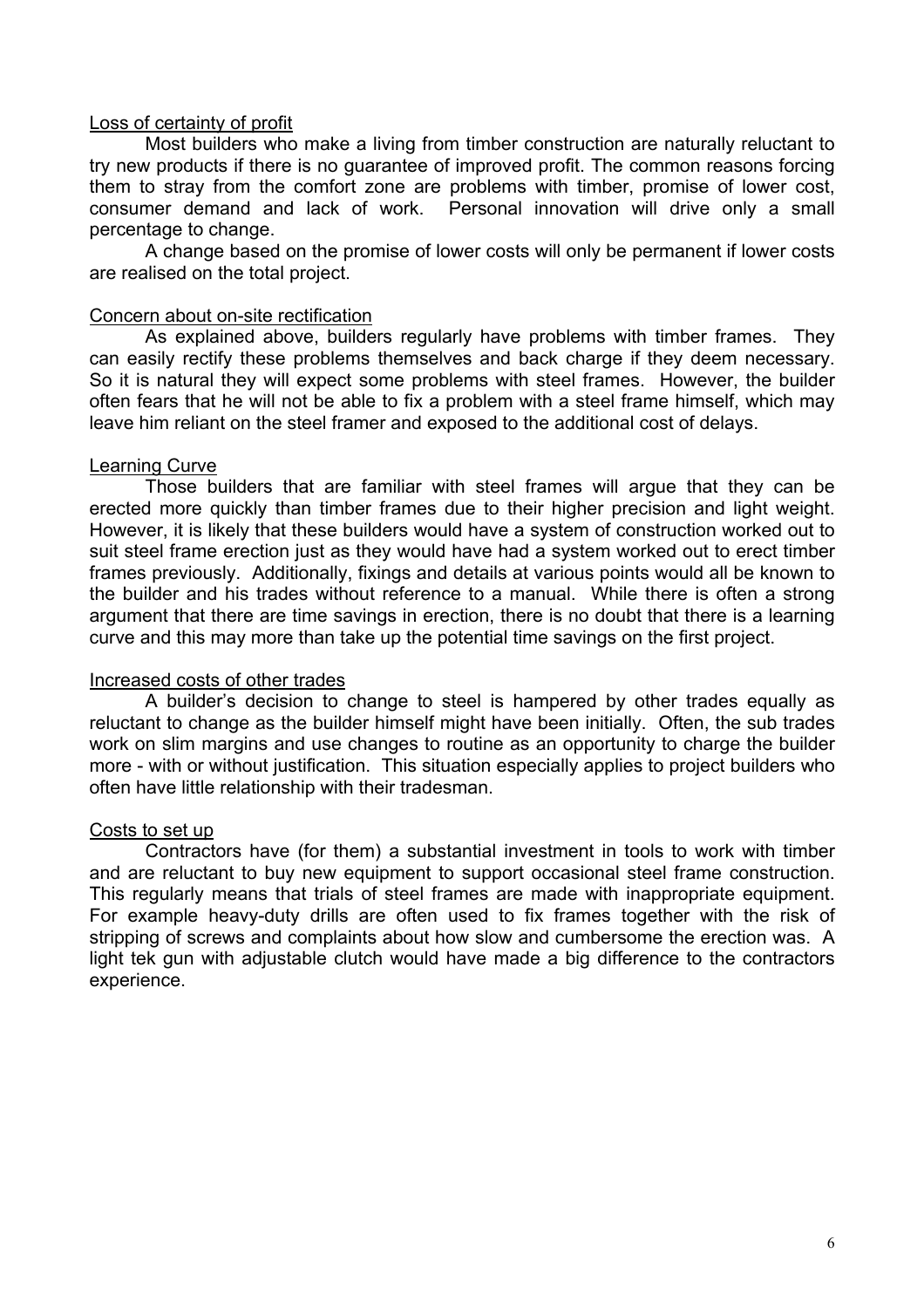## Loss of certainty of profit

Most builders who make a living from timber construction are naturally reluctant to try new products if there is no guarantee of improved profit. The common reasons forcing them to stray from the comfort zone are problems with timber, promise of lower cost, consumer demand and lack of work. Personal innovation will drive only a small percentage to change.

A change based on the promise of lower costs will only be permanent if lower costs are realised on the total project.

#### Concern about on-site rectification

As explained above, builders regularly have problems with timber frames. They can easily rectify these problems themselves and back charge if they deem necessary. So it is natural they will expect some problems with steel frames. However, the builder often fears that he will not be able to fix a problem with a steel frame himself, which may leave him reliant on the steel framer and exposed to the additional cost of delays.

## Learning Curve

Those builders that are familiar with steel frames will argue that they can be erected more quickly than timber frames due to their higher precision and light weight. However, it is likely that these builders would have a system of construction worked out to suit steel frame erection just as they would have had a system worked out to erect timber frames previously. Additionally, fixings and details at various points would all be known to the builder and his trades without reference to a manual. While there is often a strong argument that there are time savings in erection, there is no doubt that there is a learning curve and this may more than take up the potential time savings on the first project.

# Increased costs of other trades

A builder's decision to change to steel is hampered by other trades equally as reluctant to change as the builder himself might have been initially. Often, the sub trades work on slim margins and use changes to routine as an opportunity to charge the builder more - with or without justification. This situation especially applies to project builders who often have little relationship with their tradesman.

# Costs to set up

Contractors have (for them) a substantial investment in tools to work with timber and are reluctant to buy new equipment to support occasional steel frame construction. This regularly means that trials of steel frames are made with inappropriate equipment. For example heavy-duty drills are often used to fix frames together with the risk of stripping of screws and complaints about how slow and cumbersome the erection was. A light tek gun with adjustable clutch would have made a big difference to the contractors experience.